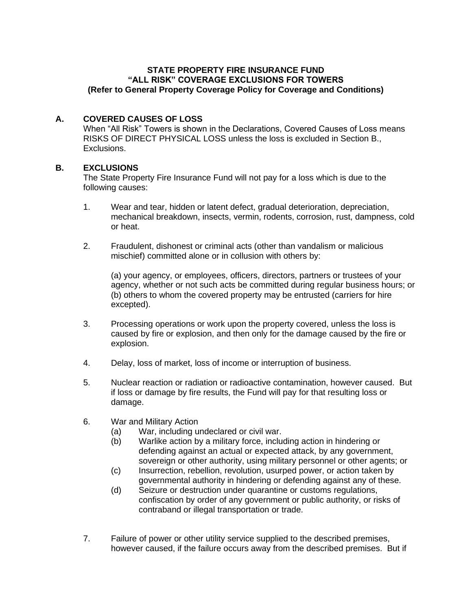## **STATE PROPERTY FIRE INSURANCE FUND "ALL RISK" COVERAGE EXCLUSIONS FOR TOWERS (Refer to General Property Coverage Policy for Coverage and Conditions)**

## **A. COVERED CAUSES OF LOSS**

When "All Risk" Towers is shown in the Declarations, Covered Causes of Loss means RISKS OF DIRECT PHYSICAL LOSS unless the loss is excluded in Section B., Exclusions.

## **B. EXCLUSIONS**

The State Property Fire Insurance Fund will not pay for a loss which is due to the following causes:

- 1. Wear and tear, hidden or latent defect, gradual deterioration, depreciation, mechanical breakdown, insects, vermin, rodents, corrosion, rust, dampness, cold or heat.
- 2. Fraudulent, dishonest or criminal acts (other than vandalism or malicious mischief) committed alone or in collusion with others by:

(a) your agency, or employees, officers, directors, partners or trustees of your agency, whether or not such acts be committed during regular business hours; or (b) others to whom the covered property may be entrusted (carriers for hire excepted).

- 3. Processing operations or work upon the property covered, unless the loss is caused by fire or explosion, and then only for the damage caused by the fire or explosion.
- 4. Delay, loss of market, loss of income or interruption of business.
- 5. Nuclear reaction or radiation or radioactive contamination, however caused. But if loss or damage by fire results, the Fund will pay for that resulting loss or damage.
- 6. War and Military Action
	- (a) War, including undeclared or civil war.
	- (b) Warlike action by a military force, including action in hindering or defending against an actual or expected attack, by any government, sovereign or other authority, using military personnel or other agents; or
	- (c) Insurrection, rebellion, revolution, usurped power, or action taken by governmental authority in hindering or defending against any of these.
	- (d) Seizure or destruction under quarantine or customs regulations, confiscation by order of any government or public authority, or risks of contraband or illegal transportation or trade.
- 7. Failure of power or other utility service supplied to the described premises, however caused, if the failure occurs away from the described premises. But if